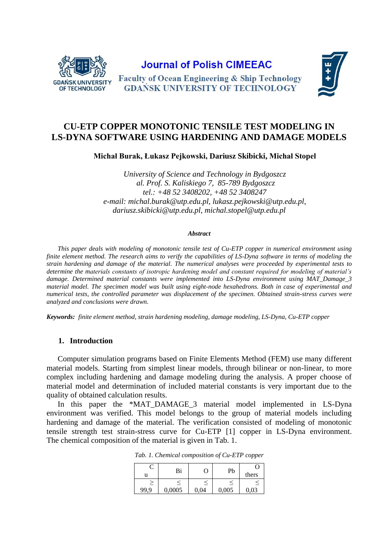

**Journal of Polish CIMEEAC** 



**Faculty of Ocean Engineering & Ship Technology GDAŃSK UNIVERSITY OF TECHNOLOGY** 

# **CU-ETP COPPER MONOTONIC TENSILE TEST MODELING IN LS-DYNA SOFTWARE USING HARDENING AND DAMAGE MODELS**

**Michał Burak, Łukasz Pejkowski, Dariusz Skibicki, Michał Stopel**

*University of Science and Technology in Bydgoszcz al. Prof. S. Kaliskiego 7, 85-789 Bydgoszcz tel.: +48 52 3408202, +48 52 3408247 e-mail: michal.burak@utp.edu.pl, lukasz.pejkowski@utp.edu.pl, dariusz.skibicki@utp.edu.pl, michal.stopel@utp.edu.pl*

#### *Abstract*

*This paper deals with modeling of monotonic tensile test of Cu-ETP copper in numerical environment using finite element method. The research aims to verify the capabilities of LS-Dyna software in terms of modeling the strain hardening and damage of the material. The numerical analyses were proceeded by experimental tests to determine the materials constants of isotropic hardening model and constant required for modeling of material's damage. Determined material constants were implemented into LS-Dyna environment using MAT\_Damage\_3 material model. The specimen model was built using eight-node hexahedrons. Both in case of experimental and numerical tests, the controlled parameter was displacement of the specimen. Obtained strain-stress curves were analyzed and conclusions were drawn.*

*Keywords: finite element method, strain hardening modeling, damage modeling, LS-Dyna, Cu-ETP copper*

### **1. Introduction**

Computer simulation programs based on Finite Elements Method (FEM) use many different material models. Starting from simplest linear models, through bilinear or non-linear, to more complex including hardening and damage modeling during the analysis. A proper choose of material model and determination of included material constants is very important due to the quality of obtained calculation results.

<span id="page-0-0"></span>In this paper the \*MAT\_DAMAGE\_3 material model implemented in LS-Dyna environment was verified. This model belongs to the group of material models including hardening and damage of the material. The verification consisted of modeling of monotonic tensile strength test strain-stress curve for Cu-ETP [1] copper in LS-Dyna environment. The chemical composition of the material is given in [Tab. 1.](#page-0-0)

|      | Bi     |      | Pb    |       |
|------|--------|------|-------|-------|
| u    |        |      |       | thers |
|      |        |      |       |       |
| 99.9 | 0,0005 | 0,04 | 0,005 | 0,03  |

*Tab. 1. Chemical composition of Cu-ETP copper*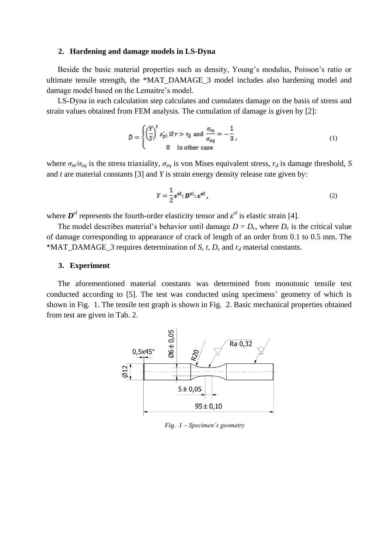### **2. Hardening and damage models in LS-Dyna**

Beside the basic material properties such as density, Young's modulus, Poisson's ratio or ultimate tensile strength, the \*MAT\_DAMAGE\_3 model includes also hardening model and damage model based on the Lemaitre's model.

LS-Dyna in each calculation step calculates and cumulates damage on the basis of stress and strain values obtained from FEM analysis. The cumulation of damage is given by [2]:

$$
\mathcal{D} = \begin{cases} \left(\frac{Y}{S}\right)^t \varepsilon_{pl}^* \text{ if } r > r_d \text{ and } \frac{\sigma_m}{\sigma_{eq}} = -\frac{1}{3}, \\ 0 \quad \text{in other case} \end{cases}
$$
 (1)

where  $\sigma_m/\sigma_{eq}$  is the stress triaxiality,  $\sigma_{eq}$  is von Mises equivalent stress,  $r_d$  is damage threshold, *S* and *t* are material constants [3] and *Y* is strain energy density release rate given by:

<span id="page-1-1"></span>
$$
Y = \frac{1}{2} \varepsilon^{el} : D^{el} : \varepsilon^{el} , \qquad (2)
$$

where  $D^{el}$  represents the fourth-order elasticity tensor and  $\varepsilon^{el}$  is elastic strain [4].

The model describes material's behavior until damage  $D = D_c$ , where  $D_c$  is the critical value of damage corresponding to appearance of crack of length of an order from 0.1 to 0.5 mm. The \*MAT\_DAMAGE\_3 requires determination of *S*, *t*,  $D_c$  and  $r_d$  material constants.

### **3. Experiment**

The aforementioned material constants was determined from monotonic tensile test conducted according to [5]. The test was conducted using specimens' geometry of which is shown in [Fig. 1.](#page-1-0) The tensile test graph is shown in [Fig. 2.](#page-2-0) Basic mechanical properties obtained from test are given in [Tab. 2.](#page-2-1)

<span id="page-1-0"></span>

*Fig. 1 – Specimen's geometry*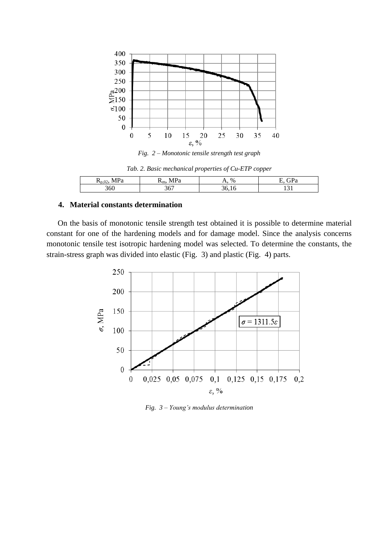

*Fig. 2 – Monotonic tensile strength test graph*

<span id="page-2-1"></span><span id="page-2-0"></span>

| - -<br>$J \cdot U \sim$ | $-$<br>-1117                   | $\%$ |  |
|-------------------------|--------------------------------|------|--|
| 60                      | $\overline{\phantom{a}}$<br>טי |      |  |

## **4. Material constants determination**

On the basis of monotonic tensile strength test obtained it is possible to determine material constant for one of the hardening models and for damage model. Since the analysis concerns monotonic tensile test isotropic hardening model was selected. To determine the constants, the strain-stress graph was divided into elastic [\(Fig. 3\)](#page-2-2) and plastic [\(Fig. 4\)](#page-3-0) parts.



<span id="page-2-2"></span>*Fig. 3 – Young's modulus determination*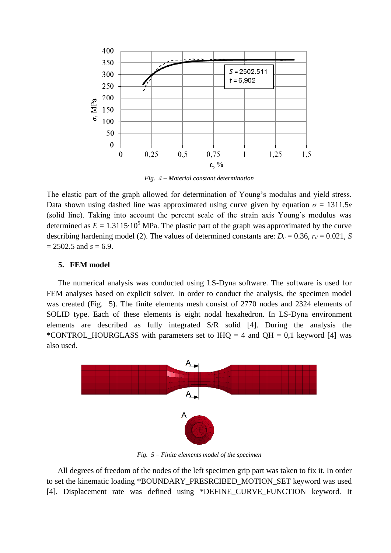

*Fig. 4 – Material constant determination*

<span id="page-3-0"></span>The elastic part of the graph allowed for determination of Young's modulus and yield stress. Data shown using dashed line was approximated using curve given by equation  $\sigma = 1311.5\varepsilon$ (solid line). Taking into account the percent scale of the strain axis Young's modulus was determined as  $E = 1.3115 \cdot 10^5$  MPa. The plastic part of the graph was approximated by the curve describing hardening model [\(2\).](#page-1-1) The values of determined constants are:  $D_c = 0.36$ ,  $r_d = 0.021$ , *S*  $= 2502.5$  and  $s = 6.9$ .

## **5. FEM model**

The numerical analysis was conducted using LS-Dyna software. The software is used for FEM analyses based on explicit solver. In order to conduct the analysis, the specimen model was created [\(Fig. 5\)](#page-3-1). The finite elements mesh consist of 2770 nodes and 2324 elements of SOLID type. Each of these elements is eight nodal hexahedron. In LS-Dyna environment elements are described as fully integrated S/R solid [4]. During the analysis the \*CONTROL\_HOURGLASS with parameters set to IHQ = 4 and QH = 0,1 keyword [4] was also used.



*Fig. 5 – Finite elements model of the specimen*

<span id="page-3-1"></span>All degrees of freedom of the nodes of the left specimen grip part was taken to fix it. In order to set the kinematic loading \*BOUNDARY\_PRESRCIBED\_MOTION\_SET keyword was used [4]. Displacement rate was defined using \*DEFINE\_CURVE\_FUNCTION keyword. It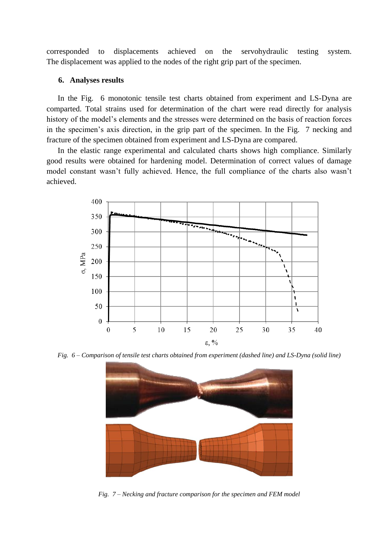corresponded to displacements achieved on the servohydraulic testing system. The displacement was applied to the nodes of the right grip part of the specimen.

### **6. Analyses results**

In the [Fig. 6](#page-4-0) monotonic tensile test charts obtained from experiment and LS-Dyna are comparted. Total strains used for determination of the chart were read directly for analysis history of the model's elements and the stresses were determined on the basis of reaction forces in the specimen's axis direction, in the grip part of the specimen. In the [Fig. 7](#page-4-1) necking and fracture of the specimen obtained from experiment and LS-Dyna are compared.

In the elastic range experimental and calculated charts shows high compliance. Similarly good results were obtained for hardening model. Determination of correct values of damage model constant wasn't fully achieved. Hence, the full compliance of the charts also wasn't achieved.



<span id="page-4-0"></span>*Fig. 6 – Comparison of tensile test charts obtained from experiment (dashed line) and LS-Dyna (solid line)*



<span id="page-4-1"></span>*Fig. 7 – Necking and fracture comparison for the specimen and FEM model*